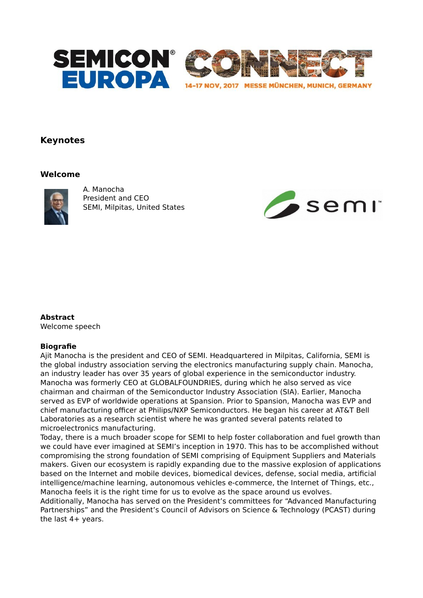

# **Keynotes**

## **Welcome**



A. Manocha President and CEO SEMI, Milpitas, United States



### **Abstract**

Welcome speech

### **Biografie**

Ajit Manocha is the president and CEO of SEMI. Headquartered in Milpitas, California, SEMI is the global industry association serving the electronics manufacturing supply chain. Manocha, an industry leader has over 35 years of global experience in the semiconductor industry. Manocha was formerly CEO at GLOBALFOUNDRIES, during which he also served as vice chairman and chairman of the Semiconductor Industry Association (SIA). Earlier, Manocha served as EVP of worldwide operations at Spansion. Prior to Spansion, Manocha was EVP and chief manufacturing officer at Philips/NXP Semiconductors. He began his career at AT&T Bell Laboratories as a research scientist where he was granted several patents related to microelectronics manufacturing.

Today, there is a much broader scope for SEMI to help foster collaboration and fuel growth than we could have ever imagined at SEMI's inception in 1970. This has to be accomplished without compromising the strong foundation of SEMI comprising of Equipment Suppliers and Materials makers. Given our ecosystem is rapidly expanding due to the massive explosion of applications based on the Internet and mobile devices, biomedical devices, defense, social media, artificial intelligence/machine learning, autonomous vehicles e-commerce, the Internet of Things, etc., Manocha feels it is the right time for us to evolve as the space around us evolves.

Additionally, Manocha has served on the President's committees for "Advanced Manufacturing Partnerships" and the President's Council of Advisors on Science & Technology (PCAST) during the last 4+ years.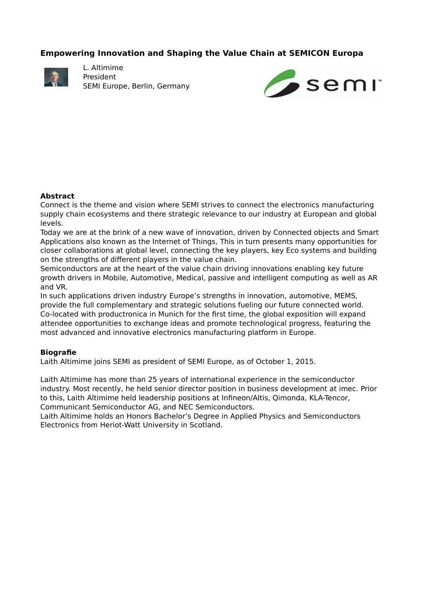## **Empowering Innovation and Shaping the Value Chain at SEMICON Europa**



L. Altimime President SEMI Europe, Berlin, Germany



### **Abstract**

Connect is the theme and vision where SEMI strives to connect the electronics manufacturing supply chain ecosystems and there strategic relevance to our industry at European and global levels.

Today we are at the brink of a new wave of innovation, driven by Connected objects and Smart Applications also known as the Internet of Things, This in turn presents many opportunities for closer collaborations at global level, connecting the key players, key Eco systems and building on the strengths of different players in the value chain.

Semiconductors are at the heart of the value chain driving innovations enabling key future growth drivers in Mobile, Automotive, Medical, passive and intelligent computing as well as AR and VR.

In such applications driven industry Europe's strengths in innovation, automotive, MEMS, provide the full complementary and strategic solutions fueling our future connected world. Co-located with productronica in Munich for the first time, the global exposition will expand attendee opportunities to exchange ideas and promote technological progress, featuring the most advanced and innovative electronics manufacturing platform in Europe.

### **Biografie**

Laith Altimime joins SEMI as president of SEMI Europe, as of October 1, 2015.

Laith Altimime has more than 25 years of international experience in the semiconductor industry. Most recently, he held senior director position in business development at imec. Prior to this, Laith Altimime held leadership positions at Infineon/Altis, Qimonda, KLA-Tencor, Communicant Semiconductor AG, and NEC Semiconductors.

Laith Altimime holds an Honors Bachelor's Degree in Applied Physics and Semiconductors Electronics from Heriot-Watt University in Scotland.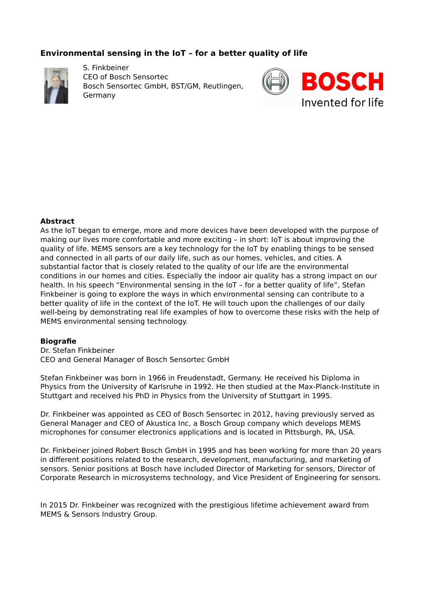# **Environmental sensing in the IoT – for a better quality of life**



S. Finkbeiner CEO of Bosch Sensortec Bosch Sensortec GmbH, BST/GM, Reutlingen, Germany



### **Abstract**

As the IoT began to emerge, more and more devices have been developed with the purpose of making our lives more comfortable and more exciting – in short: IoT is about improving the quality of life. MEMS sensors are a key technology for the IoT by enabling things to be sensed and connected in all parts of our daily life, such as our homes, vehicles, and cities. A substantial factor that is closely related to the quality of our life are the environmental conditions in our homes and cities. Especially the indoor air quality has a strong impact on our health. In his speech "Environmental sensing in the IoT – for a better quality of life", Stefan Finkbeiner is going to explore the ways in which environmental sensing can contribute to a better quality of life in the context of the IoT. He will touch upon the challenges of our daily well-being by demonstrating real life examples of how to overcome these risks with the help of MEMS environmental sensing technology.

#### **Biografie**

Dr. Stefan Finkbeiner CEO and General Manager of Bosch Sensortec GmbH

Stefan Finkbeiner was born in 1966 in Freudenstadt, Germany. He received his Diploma in Physics from the University of Karlsruhe in 1992. He then studied at the Max-Planck-Institute in Stuttgart and received his PhD in Physics from the University of Stuttgart in 1995.

Dr. Finkbeiner was appointed as CEO of Bosch Sensortec in 2012, having previously served as General Manager and CEO of Akustica Inc, a Bosch Group company which develops MEMS microphones for consumer electronics applications and is located in Pittsburgh, PA, USA.

Dr. Finkbeiner joined Robert Bosch GmbH in 1995 and has been working for more than 20 years in different positions related to the research, development, manufacturing, and marketing of sensors. Senior positions at Bosch have included Director of Marketing for sensors, Director of Corporate Research in microsystems technology, and Vice President of Engineering for sensors.

In 2015 Dr. Finkbeiner was recognized with the prestigious lifetime achievement award from MEMS & Sensors Industry Group.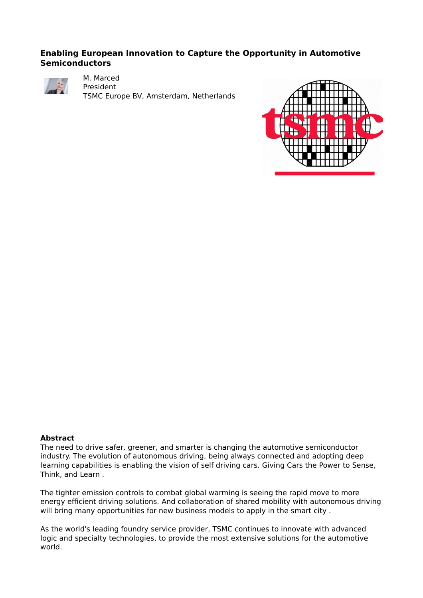## **Enabling European Innovation to Capture the Opportunity in Automotive Semiconductors**



M. Marced

President TSMC Europe BV, Amsterdam, Netherlands



#### **Abstract**

The need to drive safer, greener, and smarter is changing the automotive semiconductor industry. The evolution of autonomous driving, being always connected and adopting deep learning capabilities is enabling the vision of self driving cars. Giving Cars the Power to Sense, Think, and Learn .

The tighter emission controls to combat global warming is seeing the rapid move to more energy efficient driving solutions. And collaboration of shared mobility with autonomous driving will bring many opportunities for new business models to apply in the smart city.

As the world's leading foundry service provider, TSMC continues to innovate with advanced logic and specialty technologies, to provide the most extensive solutions for the automotive world.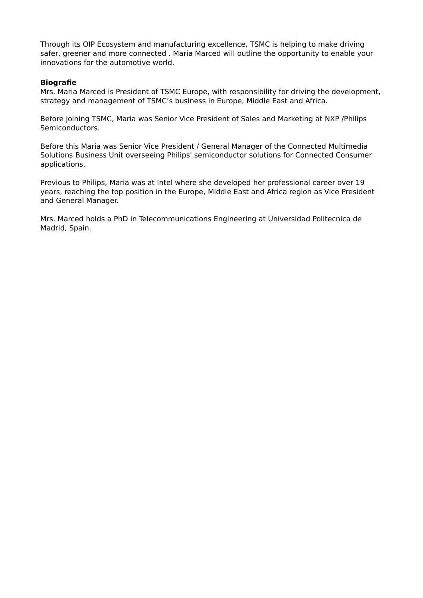Through its OIP Ecosystem and manufacturing excellence, TSMC is helping to make driving safer, greener and more connected . Maria Marced will outline the opportunity to enable your innovations for the automotive world.

#### **Biografie**

Mrs. Maria Marced is President of TSMC Europe, with responsibility for driving the development, strategy and management of TSMC's business in Europe, Middle East and Africa.

Before joining TSMC, Maria was Senior Vice President of Sales and Marketing at NXP /Philips Semiconductors.

Before this Maria was Senior Vice President / General Manager of the Connected Multimedia Solutions Business Unit overseeing Philips' semiconductor solutions for Connected Consumer applications.

Previous to Philips, Maria was at Intel where she developed her professional career over 19 years, reaching the top position in the Europe, Middle East and Africa region as Vice President and General Manager.

Mrs. Marced holds a PhD in Telecommunications Engineering at Universidad Politecnica de Madrid, Spain.